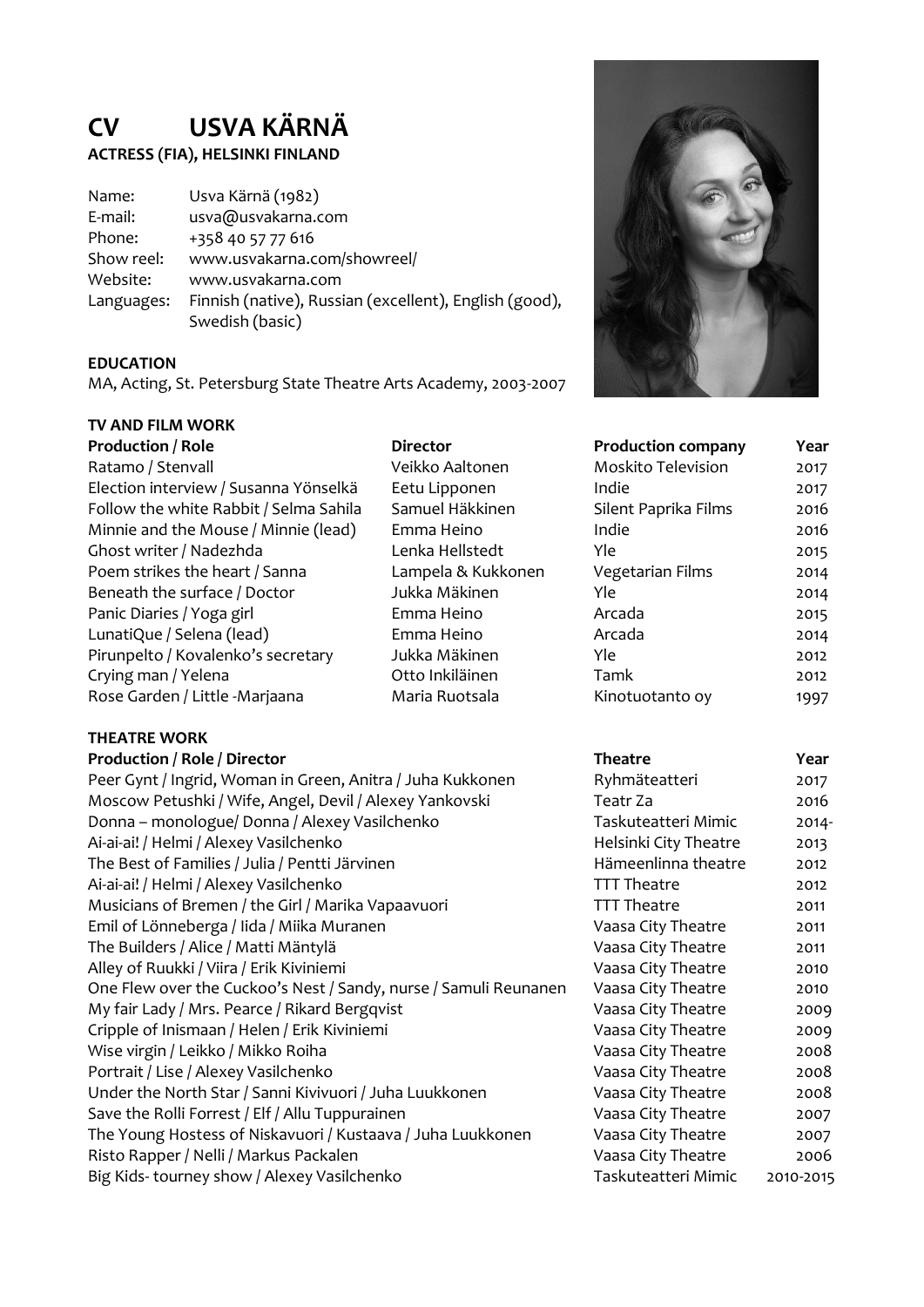# **CV USVA KÄRNÄ**

### **ACTRESS (FIA), HELSINKI FINLAND**

| Name:      | Usva Kärnä (1982)                                      |
|------------|--------------------------------------------------------|
| E-mail:    | usva@usvakarna.com                                     |
| Phone:     | +358 40 57 77 616                                      |
| Show reel: | www.usvakarna.com/showreel/                            |
| Website:   | www.usvakarna.com                                      |
| Languages: | Finnish (native), Russian (excellent), English (good), |
|            | Swedish (basic)                                        |

### **EDUCATION**

MA, Acting, St. Petersburg State Theatre Arts Academy, 2003-2007

### **TV AND FILM WORK**

### **Production / Role Director**

Ratamo / Stenvall **Veikko Aaltonen** Election interview / Susanna Yönselkä Eetu Lipponen Follow the white Rabbit / Selma Sahila Samuel Häkkinen Minnie and the Mouse / Minnie (lead) Emma Heino Ghost writer / Nadezhda Lenka Hellstedt Poem strikes the heart / Sanna Lampela & Kukkonen Beneath the surface / Doctor Jukka Mäkinen Panic Diaries / Yoga girl **Emma Heino** LunatiQue / Selena (lead) Emma Heino Pirunpelto / Kovalenko's secretary Jukka Mäkinen Crying man / Yelena Crying man 1 Yelena Rose Garden / Little -Marjaana Maria Ruotsala



| <b>Production company</b> | Year |
|---------------------------|------|
| Moskito Television        | 2017 |
| Indie                     | 2017 |
| Silent Paprika Films      | 2016 |
| Indie                     | 2016 |
| Yle                       | 2015 |
| Vegetarian Films          | 2014 |
| Yle                       | 2014 |
| Arcada                    | 2015 |
| Arcada                    | 2014 |
| Yle                       | 2012 |
| Tamk                      | 2012 |
| Kinotuotanto oy           | 1997 |

### **THEATRE WORK**

| Peer Gynt / Ingrid, Woman in Green, Anitra / Juha Kukkonen       | Ryhmäteatteri         | 2017     |
|------------------------------------------------------------------|-----------------------|----------|
| Moscow Petushki / Wife, Angel, Devil / Alexey Yankovski          | Teatr Za              | 2016     |
| Donna – monologue/ Donna / Alexey Vasilchenko                    | Taskuteatteri Mimic   | 2014     |
| Ai-ai-ai! / Helmi / Alexey Vasilchenko                           | Helsinki City Theatre | 2013     |
| The Best of Families / Julia / Pentti Järvinen                   | Hämeenlinna theatre   | 2012     |
| Ai-ai-ai! / Helmi / Alexey Vasilchenko                           | <b>TTT Theatre</b>    | 2012     |
| Musicians of Bremen / the Girl / Marika Vapaavuori               | <b>TTT Theatre</b>    | 2011     |
| Emil of Lönneberga / lida / Miika Muranen                        | Vaasa City Theatre    | 2011     |
| The Builders / Alice / Matti Mäntylä                             | Vaasa City Theatre    | 2011     |
| Alley of Ruukki / Viira / Erik Kiviniemi                         | Vaasa City Theatre    | 2010     |
| One Flew over the Cuckoo's Nest / Sandy, nurse / Samuli Reunanen | Vaasa City Theatre    | 2010     |
| My fair Lady / Mrs. Pearce / Rikard Bergqvist                    | Vaasa City Theatre    | 2000     |
| Cripple of Inismaan / Helen / Erik Kiviniemi                     | Vaasa City Theatre    | 2000     |
| Wise virgin / Leikko / Mikko Roiha                               | Vaasa City Theatre    | 2008     |
| Portrait / Lise / Alexey Vasilchenko                             | Vaasa City Theatre    | 2008     |
| Under the North Star / Sanni Kivivuori / Juha Luukkonen          | Vaasa City Theatre    | 2008     |
| Save the Rolli Forrest / Elf / Allu Tuppurainen                  | Vaasa City Theatre    | 2007     |
| The Young Hostess of Niskavuori / Kustaava / Juha Luukkonen      | Vaasa City Theatre    | 2007     |
| Risto Rapper / Nelli / Markus Packalen                           | Vaasa City Theatre    | 2006     |
| Big Kids-tourney show / Alexey Vasilchenko                       | Taskuteatteri Mimic   | 2010-201 |

### **Production / Role / Director Theatre Year** Ryhmäteatteri 2017 Taskuteatteri Mimic 2014-Helsinki City Theatre 2013 Hämeenlinna theatre 2012 Musicians of Bremen / the Girl / Marika Vapaavuori TTT Theatre 2011 Vaasa City Theatre 2011 Vaasa City Theatre 2011 Vaasa City Theatre 2010 Vaasa City Theatre 2010 Vaasa City Theatre 2009 Vaasa City Theatre 2009 Vaasa City Theatre 2008 Vaasa City Theatre 2008 Vaasa City Theatre 2008 Vaasa City Theatre 2007 Vaasa City Theatre 2007 Vaasa City Theatre 2006 Taskuteatteri Mimic 2010-2015